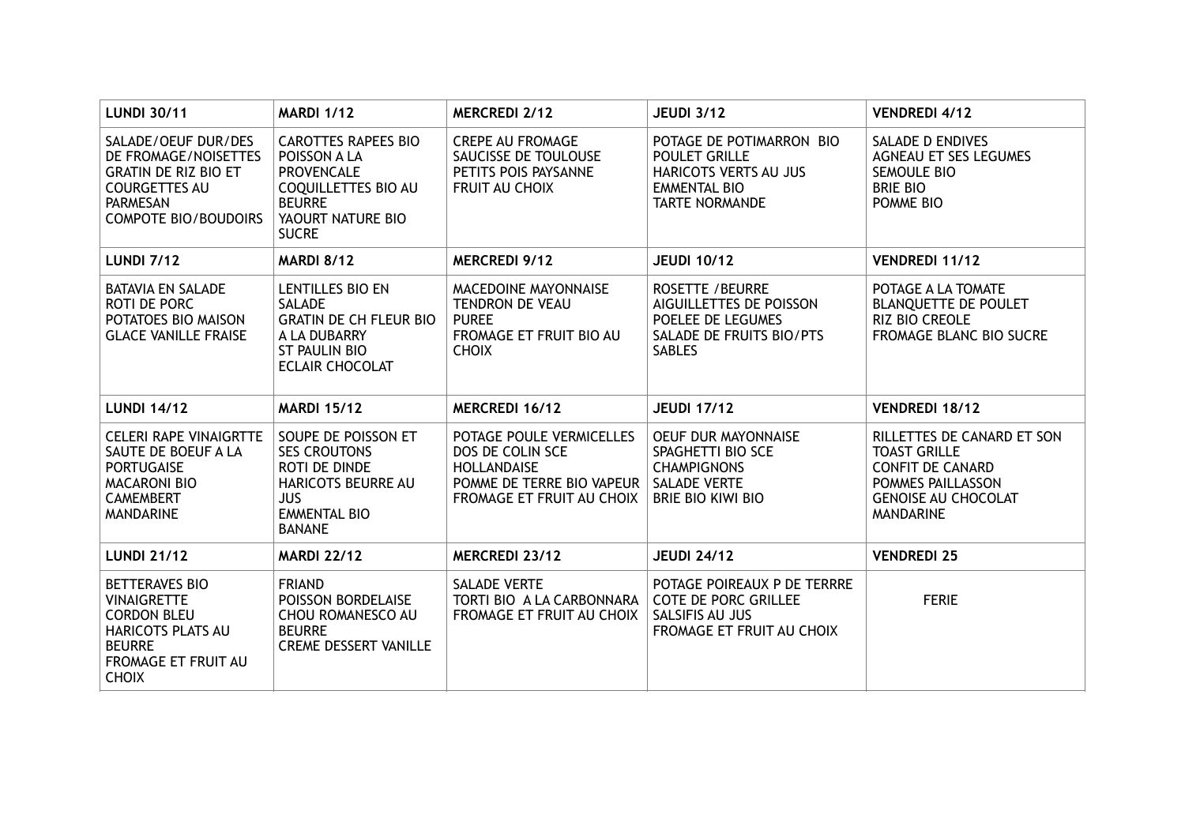| <b>LUNDI 30/11</b>                                                                                                                                   | <b>MARDI 1/12</b>                                                                                                                                   | <b>MERCREDI 2/12</b>                                                                               | <b>JEUDI 3/12</b>                                                                                                         | <b>VENDREDI 4/12</b>                                                                                                  |
|------------------------------------------------------------------------------------------------------------------------------------------------------|-----------------------------------------------------------------------------------------------------------------------------------------------------|----------------------------------------------------------------------------------------------------|---------------------------------------------------------------------------------------------------------------------------|-----------------------------------------------------------------------------------------------------------------------|
| SALADE/OEUF DUR/DES<br>DE FROMAGE/NOISETTES<br><b>GRATIN DE RIZ BIO ET</b><br><b>COURGETTES AU</b><br><b>PARMESAN</b><br><b>COMPOTE BIO/BOUDOIRS</b> | <b>CAROTTES RAPEES BIO</b><br>POISSON A LA<br><b>PROVENCALE</b><br><b>COQUILLETTES BIO AU</b><br><b>BEURRE</b><br>YAOURT NATURE BIO<br><b>SUCRE</b> | <b>CREPE AU FROMAGE</b><br>SAUCISSE DE TOULOUSE<br>PETITS POIS PAYSANNE<br>FRUIT AU CHOIX          | POTAGE DE POTIMARRON BIO<br><b>POULET GRILLE</b><br>HARICOTS VERTS AU JUS<br><b>EMMENTAL BIO</b><br><b>TARTE NORMANDE</b> | <b>SALADE D ENDIVES</b><br>AGNEAU ET SES LEGUMES<br>SEMOULE BIO<br><b>BRIE BIO</b><br>POMME BIO                       |
| <b>LUNDI 7/12</b>                                                                                                                                    | <b>MARDI 8/12</b>                                                                                                                                   | <b>MERCREDI 9/12</b>                                                                               | <b>JEUDI 10/12</b>                                                                                                        | VENDREDI 11/12                                                                                                        |
| <b>BATAVIA EN SALADE</b><br>ROTI DE PORC<br>POTATOES BIO MAISON<br><b>GLACE VANILLE FRAISE</b>                                                       | LENTILLES BIO EN<br>SALADE<br><b>GRATIN DE CH FLEUR BIO</b><br>A LA DUBARRY<br><b>ST PAULIN BIO</b><br><b>ECLAIR CHOCOLAT</b>                       | MACEDOINE MAYONNAISE<br>TENDRON DE VEAU<br><b>PUREE</b><br>FROMAGE ET FRUIT BIO AU<br><b>CHOIX</b> | <b>ROSETTE / BEURRE</b><br>AIGUILLETTES DE POISSON<br>POELEE DE LEGUMES<br>SALADE DE FRUITS BIO/PTS<br><b>SABLES</b>      | POTAGE A LA TOMATE<br><b>BLANQUETTE DE POULET</b><br><b>RIZ BIO CREOLE</b><br>FROMAGE BLANC BIO SUCRE                 |
| <b>LUNDI 14/12</b>                                                                                                                                   | <b>MARDI 15/12</b>                                                                                                                                  | MERCREDI 16/12                                                                                     | <b>JEUDI 17/12</b>                                                                                                        | VENDREDI 18/12                                                                                                        |
| CELERI RAPE VINAIGRTTE<br>SAUTE DE BOEUF A LA                                                                                                        | SOUPE DE POISSON ET                                                                                                                                 | POTAGE POULE VERMICELLES                                                                           | OEUF DUR MAYONNAISE                                                                                                       | RILLETTES DE CANARD ET SON                                                                                            |
| <b>PORTUGAISE</b><br><b>MACARONI BIO</b><br><b>CAMEMBERT</b><br><b>MANDARINE</b>                                                                     | <b>SES CROUTONS</b><br>ROTI DE DINDE<br><b>HARICOTS BEURRE AU</b><br><b>JUS</b><br><b>EMMENTAL BIO</b><br><b>BANANE</b>                             | DOS DE COLIN SCE<br><b>HOLLANDAISE</b><br>POMME DE TERRE BIO VAPEUR<br>FROMAGE ET FRUIT AU CHOIX   | SPAGHETTI BIO SCE<br><b>CHAMPIGNONS</b><br><b>SALADE VERTE</b><br><b>BRIE BIO KIWI BIO</b>                                | <b>TOAST GRILLE</b><br><b>CONFIT DE CANARD</b><br>POMMES PAILLASSON<br><b>GENOISE AU CHOCOLAT</b><br><b>MANDARINE</b> |
| <b>LUNDI 21/12</b>                                                                                                                                   | <b>MARDI 22/12</b>                                                                                                                                  | MERCREDI 23/12                                                                                     | <b>JEUDI 24/12</b>                                                                                                        | <b>VENDREDI 25</b>                                                                                                    |